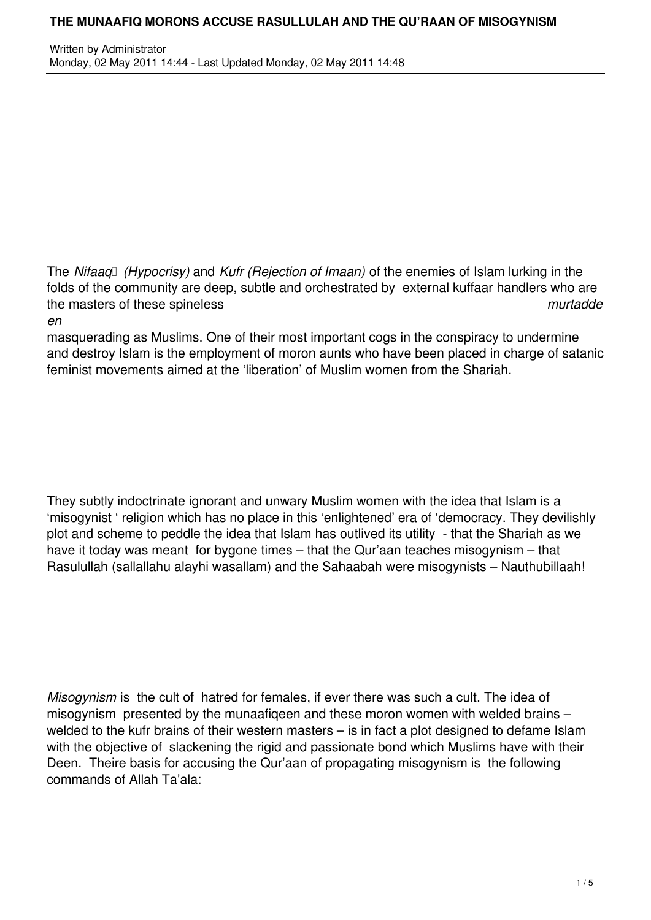The *Nifaag* (*Hypocrisy*) and *Kufr (Rejection of Imaan*) of the enemies of Islam lurking in the folds of the community are deep, subtle and orchestrated by external kuffaar handlers who are the masters of these spineless *murtadde*

*en*

masquerading as Muslims. One of their most important cogs in the conspiracy to undermine and destroy Islam is the employment of moron aunts who have been placed in charge of satanic feminist movements aimed at the 'liberation' of Muslim women from the Shariah.

They subtly indoctrinate ignorant and unwary Muslim women with the idea that Islam is a 'misogynist ' religion which has no place in this 'enlightened' era of 'democracy. They devilishly plot and scheme to peddle the idea that Islam has outlived its utility - that the Shariah as we have it today was meant for bygone times – that the Qur'aan teaches misogynism – that Rasulullah (sallallahu alayhi wasallam) and the Sahaabah were misogynists – Nauthubillaah!

*Misogynism* is the cult of hatred for females, if ever there was such a cult. The idea of misogynism presented by the munaafiqeen and these moron women with welded brains – welded to the kufr brains of their western masters – is in fact a plot designed to defame Islam with the objective of slackening the rigid and passionate bond which Muslims have with their Deen. Theire basis for accusing the Qur'aan of propagating misogynism is the following commands of Allah Ta'ala: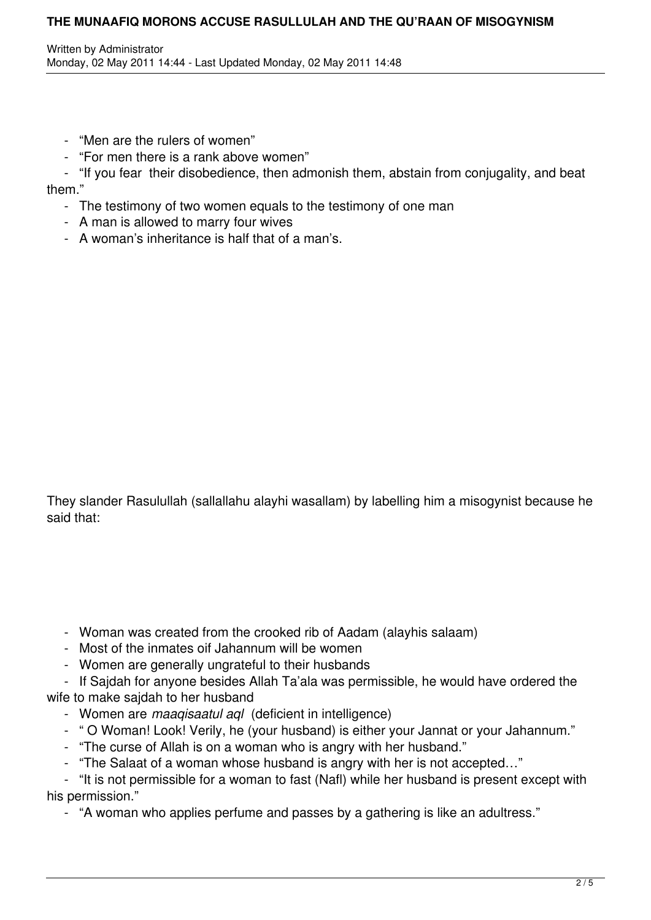- "Men are the rulers of women"
- "For men there is a rank above women"
- "If you fear their disobedience, then admonish them, abstain from conjugality, and beat them."
	- The testimony of two women equals to the testimony of one man
	- A man is allowed to marry four wives
	- A woman's inheritance is half that of a man's.

They slander Rasulullah (sallallahu alayhi wasallam) by labelling him a misogynist because he said that:

- Woman was created from the crooked rib of Aadam (alayhis salaam)
- Most of the inmates oif Jahannum will be women
- Women are generally ungrateful to their husbands

 - If Sajdah for anyone besides Allah Ta'ala was permissible, he would have ordered the wife to make sajdah to her husband

- Women are *maaqisaatul aql* (deficient in intelligence)
- " O Woman! Look! Verily, he (your husband) is either your Jannat or your Jahannum."
- "The curse of Allah is on a woman who is angry with her husband."
- "The Salaat of a woman whose husband is angry with her is not accepted…"

 - "It is not permissible for a woman to fast (Nafl) while her husband is present except with his permission."

- "A woman who applies perfume and passes by a gathering is like an adultress."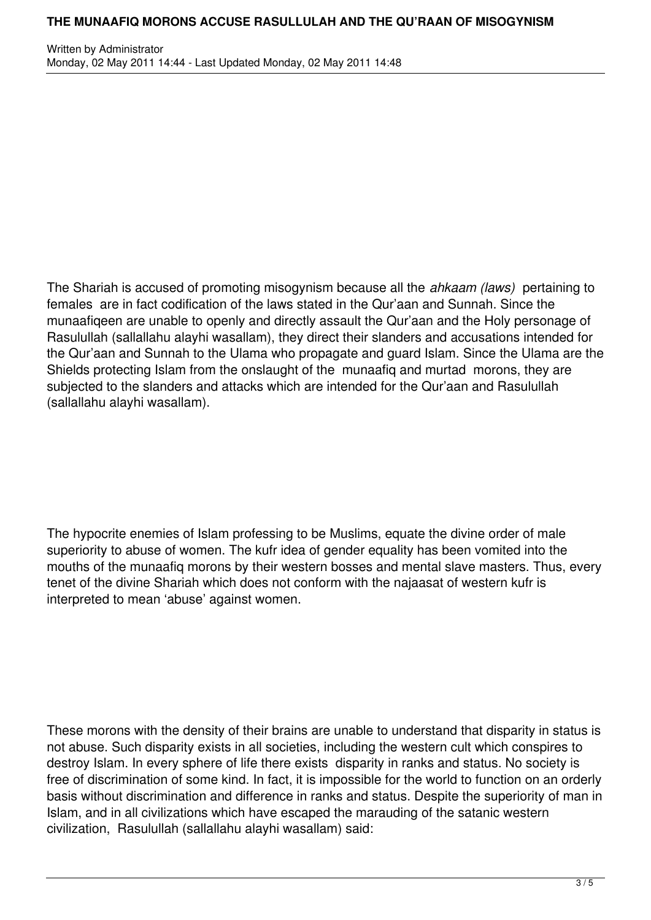The Shariah is accused of promoting misogynism because all the *ahkaam (laws)* pertaining to females are in fact codification of the laws stated in the Qur'aan and Sunnah. Since the munaafiqeen are unable to openly and directly assault the Qur'aan and the Holy personage of Rasulullah (sallallahu alayhi wasallam), they direct their slanders and accusations intended for the Qur'aan and Sunnah to the Ulama who propagate and guard Islam. Since the Ulama are the Shields protecting Islam from the onslaught of the munaafiq and murtad morons, they are subjected to the slanders and attacks which are intended for the Qur'aan and Rasulullah (sallallahu alayhi wasallam).

The hypocrite enemies of Islam professing to be Muslims, equate the divine order of male superiority to abuse of women. The kufr idea of gender equality has been vomited into the mouths of the munaafiq morons by their western bosses and mental slave masters. Thus, every tenet of the divine Shariah which does not conform with the najaasat of western kufr is interpreted to mean 'abuse' against women.

These morons with the density of their brains are unable to understand that disparity in status is not abuse. Such disparity exists in all societies, including the western cult which conspires to destroy Islam. In every sphere of life there exists disparity in ranks and status. No society is free of discrimination of some kind. In fact, it is impossible for the world to function on an orderly basis without discrimination and difference in ranks and status. Despite the superiority of man in Islam, and in all civilizations which have escaped the marauding of the satanic western civilization, Rasulullah (sallallahu alayhi wasallam) said: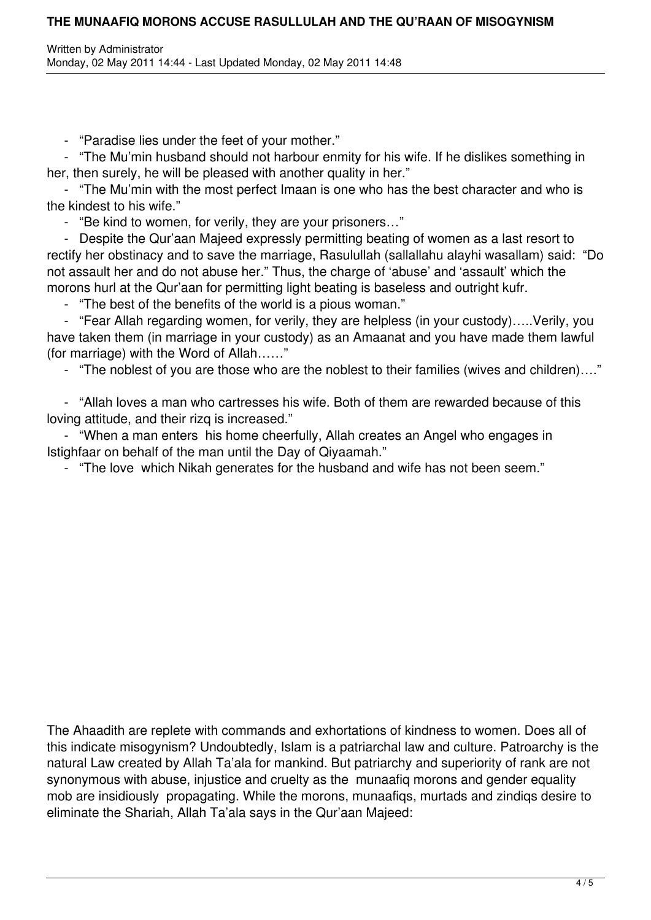- "Paradise lies under the feet of your mother."

 - "The Mu'min husband should not harbour enmity for his wife. If he dislikes something in her, then surely, he will be pleased with another quality in her."

 - "The Mu'min with the most perfect Imaan is one who has the best character and who is the kindest to his wife."

- "Be kind to women, for verily, they are your prisoners…"

 - Despite the Qur'aan Majeed expressly permitting beating of women as a last resort to rectify her obstinacy and to save the marriage, Rasulullah (sallallahu alayhi wasallam) said: "Do not assault her and do not abuse her." Thus, the charge of 'abuse' and 'assault' which the morons hurl at the Qur'aan for permitting light beating is baseless and outright kufr.

- "The best of the benefits of the world is a pious woman."

 - "Fear Allah regarding women, for verily, they are helpless (in your custody)…..Verily, you have taken them (in marriage in your custody) as an Amaanat and you have made them lawful (for marriage) with the Word of Allah……"

- "The noblest of you are those who are the noblest to their families (wives and children)…."

 - "Allah loves a man who cartresses his wife. Both of them are rewarded because of this loving attitude, and their rizq is increased."

 - "When a man enters his home cheerfully, Allah creates an Angel who engages in Istighfaar on behalf of the man until the Day of Qiyaamah."

- "The love which Nikah generates for the husband and wife has not been seem."

The Ahaadith are replete with commands and exhortations of kindness to women. Does all of this indicate misogynism? Undoubtedly, Islam is a patriarchal law and culture. Patroarchy is the natural Law created by Allah Ta'ala for mankind. But patriarchy and superiority of rank are not synonymous with abuse, injustice and cruelty as the munaafiq morons and gender equality mob are insidiously propagating. While the morons, munaafiqs, murtads and zindiqs desire to eliminate the Shariah, Allah Ta'ala says in the Qur'aan Majeed: